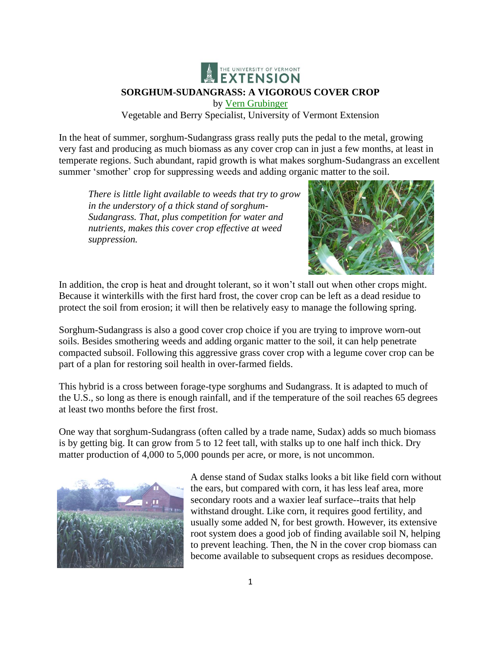

Vegetable and Berry Specialist, University of Vermont Extension

In the heat of summer, sorghum-Sudangrass grass really puts the pedal to the metal, growing very fast and producing as much biomass as any cover crop can in just a few months, at least in temperate regions. Such abundant, rapid growth is what makes sorghum-Sudangrass an excellent summer 'smother' crop for suppressing weeds and adding organic matter to the soil.

*There is little light available to weeds that try to grow in the understory of a thick stand of sorghum-Sudangrass. That, plus competition for water and nutrients, makes this cover crop effective at weed suppression.*



In addition, the crop is heat and drought tolerant, so it won't stall out when other crops might. Because it winterkills with the first hard frost, the cover crop can be left as a dead residue to protect the soil from erosion; it will then be relatively easy to manage the following spring.

Sorghum-Sudangrass is also a good cover crop choice if you are trying to improve worn-out soils. Besides smothering weeds and adding organic matter to the soil, it can help penetrate compacted subsoil. Following this aggressive grass cover crop with a legume cover crop can be part of a plan for restoring soil health in over-farmed fields.

This hybrid is a cross between forage-type sorghums and Sudangrass. It is adapted to much of the U.S., so long as there is enough rainfall, and if the temperature of the soil reaches 65 degrees at least two months before the first frost.

One way that sorghum-Sudangrass (often called by a trade name, Sudax) adds so much biomass is by getting big. It can grow from 5 to 12 feet tall, with stalks up to one half inch thick. Dry matter production of 4,000 to 5,000 pounds per acre, or more, is not uncommon.



A dense stand of Sudax stalks looks a bit like field corn without the ears, but compared with corn, it has less leaf area, more secondary roots and a waxier leaf surface--traits that help withstand drought. Like corn, it requires good fertility, and usually some added N, for best growth. However, its extensive root system does a good job of finding available soil N, helping to prevent leaching. Then, the N in the cover crop biomass can become available to subsequent crops as residues decompose.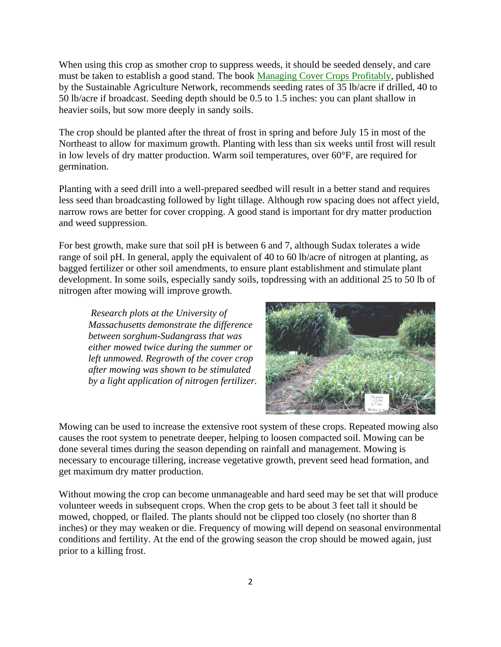When using this crop as smother crop to suppress weeds, it should be seeded densely, and care must be taken to establish a good stand. The book [Managing Cover Crops Profitably,](http://www.sare.org/publications/covercrops/covercrops.pdf) published by the Sustainable Agriculture Network, recommends seeding rates of 35 lb/acre if drilled, 40 to 50 lb/acre if broadcast. Seeding depth should be 0.5 to 1.5 inches: you can plant shallow in heavier soils, but sow more deeply in sandy soils.

The crop should be planted after the threat of frost in spring and before July 15 in most of the Northeast to allow for maximum growth. Planting with less than six weeks until frost will result in low levels of dry matter production. Warm soil temperatures, over 60°F, are required for germination.

Planting with a seed drill into a well-prepared seedbed will result in a better stand and requires less seed than broadcasting followed by light tillage. Although row spacing does not affect yield, narrow rows are better for cover cropping. A good stand is important for dry matter production and weed suppression.

For best growth, make sure that soil pH is between 6 and 7, although Sudax tolerates a wide range of soil pH. In general, apply the equivalent of 40 to 60 lb/acre of nitrogen at planting, as bagged fertilizer or other soil amendments, to ensure plant establishment and stimulate plant development. In some soils, especially sandy soils, topdressing with an additional 25 to 50 lb of nitrogen after mowing will improve growth.

*Research plots at the University of Massachusetts demonstrate the difference between sorghum-Sudangrass that was either mowed twice during the summer or left unmowed. Regrowth of the cover crop after mowing was shown to be stimulated by a light application of nitrogen fertilizer.*



Mowing can be used to increase the extensive root system of these crops. Repeated mowing also causes the root system to penetrate deeper, helping to loosen compacted soil. Mowing can be done several times during the season depending on rainfall and management. Mowing is necessary to encourage tillering, increase vegetative growth, prevent seed head formation, and get maximum dry matter production.

Without mowing the crop can become unmanageable and hard seed may be set that will produce volunteer weeds in subsequent crops. When the crop gets to be about 3 feet tall it should be mowed, chopped, or flailed. The plants should not be clipped too closely (no shorter than 8 inches) or they may weaken or die. Frequency of mowing will depend on seasonal environmental conditions and fertility. At the end of the growing season the crop should be mowed again, just prior to a killing frost.